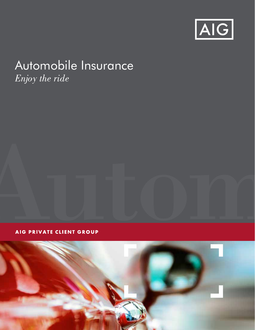

## Automobile Insurance *Enjoy the ride*



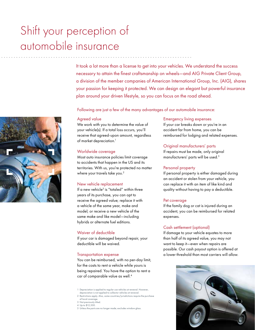# Shift your perception of automobile insurance

It took a lot more than a license to get into your vehicles. We understand the success necessary to attain the finest craftsmanship on wheels—and AIG Private Client Group, a division of the member companies of American International Group, Inc. (AIG), shares your passion for keeping it protected. We can design an elegant but powerful insurance plan around your driven lifestyle, so you can focus on the road ahead.

Following are just a few of the many advantages of our automobile insurance:

#### Agreed value

We work with you to determine the value of your vehicle(s). If a total loss occurs, you'll receive that agreed-upon amount, regardless of market depreciation.<sup>1</sup>

#### Worldwide coverage

Most auto insurance policies limit coverage to accidents that happen in the US and its territories. With us, you're protected no matter where your travels take you.<sup>2</sup>

#### New vehicle replacement

If a new vehicle<sup>3</sup> is "totaled" within three years of its purchase, you can opt to receive the agreed value; replace it with a vehicle of the same year, make and model; or receive a new vehicle of the same make and like model—including hybrids or alternate fuel editions.

#### Waiver of deductible

If your car is damaged beyond repair, your deductible will be waived.

#### Transportation expense

You can be reimbursed, with no per-day limit, for the costs to rent a vehicle while yours is being repaired. You have the option to rent a car of comparable value as well.4

1 Depreciation is applied to regular use vehicles at renewal. However, depreciation is not applied to collector vehicles at renewal.

2 Restrictions apply. Also, some countries/jurisdictions require the purchase of local coverage.

- 3 Not previously titled.
- 4 Up to \$12,500.
- 5 Unless the parts are no longer made; excludes window glass.

#### Emergency living expenses

If your car breaks down or you're in an accident far from home, you can be reimbursed for lodging and related expenses.

#### Original manufacturers' parts

If repairs must be made, only original manufacturers' parts will be used.5

#### Personal property

If personal property is either damaged during an accident or stolen from your vehicle, you can replace it with an item of like kind and quality without having to pay a deductible.

#### Pet coverage

If the family dog or cat is injured during an accident, you can be reimbursed for related expenses.

#### Cash settlement (optional)

If damage to your vehicle equates to more than half of its agreed value, you may not want to keep it—even when repairs are possible. Our cash payout option is offered at a lower threshold than most carriers will allow.



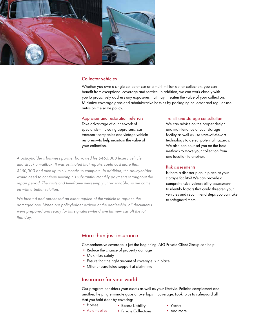

#### Collector vehicles

Whether you own a single collector car or a multi-million dollar collection, you can benefit from exceptional coverage and service. In addition, we can work closely with you to proactively address any exposures that may threaten the value of your collection. Minimize coverage gaps and administrative hassles by packaging collector and regular-use autos on the same policy.

#### Appraiser and restoration referrals

Take advantage of our network of specialists—including appraisers, car transport companies and vintage vehicle restorers—to help maintain the value of your collection.

*A policyholder's business partner borrowed his \$465,000 luxury vehicle and struck a mailbox. It was estimated that repairs could cost more than \$250,000 and take up to six months to complete. In addition, the policyholder would need to continue making his substantial monthly payments throughout the repair period. The costs and timeframe weresimply unreasonable, so we came up with a better solution.*

*We located and purchased an exact replica of the vehicle to replace the damaged one. When our policyholder arrived at the dealership, all documents were prepared and ready for his signature—he drove his new car off the lot that day.*

#### Transit and storage consultation

We can advise on the proper design and maintenance of your storage facility as well as use state-of-the-art technology to detect potential hazards. We also can counsel you on the best methods to move your collection from one location to another.

#### Risk assessments

Is there a disaster plan in place at your storage facility? We can provide a comprehensive vulnerability assessment to identify factors that could threaten your vehicles and recommend steps you can take to safeguard them.

#### More than just insurance

Comprehensive coverage is just the beginning. AIG Private Client Group can help:

- Reduce the chance of property damage
- Maximize safety
- Ensure that the right amount of coverage is in place
- Offer unparalleled support at claim time

#### Insurance for your world

Our program considers your assets as well as your lifestyle. Policies complement one another, helping eliminate gaps or overlaps in coverage. Look to us to safeguard all that you hold dear by covering:

- Homes
	- Excess Liability
- Yachts
- Automobiles
- And more…
- Private Collections